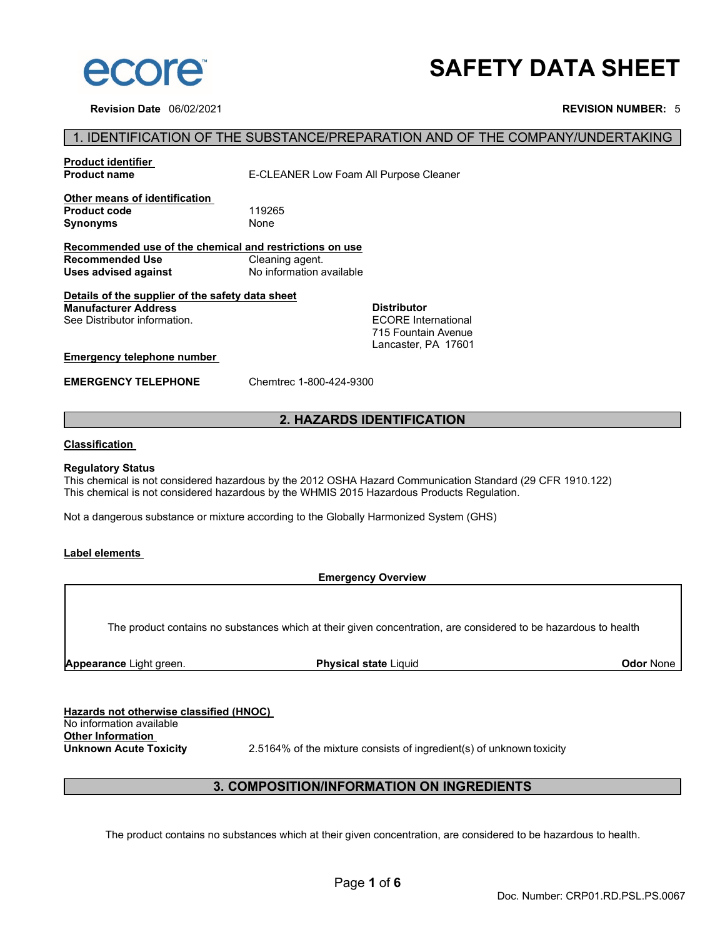

**Revision Date** 06/02/2021 **REVISION NUMBER:** 5

# **SAFETY DATA SHEET**

# 1. IDENTIFICATION OF THE SUBSTANCE/PREPARATION AND OF THE COMPANY/UNDERTAKING

| <b>Product identifier</b><br><b>Product name</b>                                                                | E-CLEANER Low Foam All Purpose Cleaner |                                                                                                |
|-----------------------------------------------------------------------------------------------------------------|----------------------------------------|------------------------------------------------------------------------------------------------|
| Other means of identification<br><b>Product code</b><br>Synonyms                                                | 119265<br>None                         |                                                                                                |
| Recommended use of the chemical and restrictions on use                                                         |                                        |                                                                                                |
| Recommended Use                                                                                                 | Cleaning agent.                        |                                                                                                |
| Uses advised against                                                                                            | No information available               |                                                                                                |
| Details of the supplier of the safety data sheet<br><b>Manufacturer Address</b><br>See Distributor information. |                                        | <b>Distributor</b><br><b>ECORE</b> International<br>715 Fountain Avenue<br>Lancaster, PA 17601 |
| Emergency telephone number                                                                                      |                                        |                                                                                                |
| <b>EMERGENCY TELEPHONE</b>                                                                                      | Chemtrec 1-800-424-9300                |                                                                                                |

# **2. HAZARDS IDENTIFICATION**

#### **Classification**

#### **Regulatory Status**

This chemical is not considered hazardous by the 2012 OSHA Hazard Communication Standard (29 CFR 1910.122) This chemical is not considered hazardous by the WHMIS 2015 Hazardous Products Regulation.

Not a dangerous substance or mixture according to the Globally Harmonized System (GHS)

# **Label elements**

**Emergency Overview**

The product contains no substances which at their given concentration, are considered to be hazardous to health

**Appearance** Light green. **Physical state** Liquid **Odor** None

| Hazards not otherwise classified (HNOC) |                  |  |
|-----------------------------------------|------------------|--|
| No information available                |                  |  |
| <b>Other Information</b>                |                  |  |
| <b>Unknown Acute Toxicity</b>           | 2.5164% of the m |  |

**Nixture consists of ingredient(s) of unknown toxicity** 

# **3. COMPOSITION/INFORMATION ON INGREDIENTS**

The product contains no substances which at their given concentration, are considered to be hazardous to health.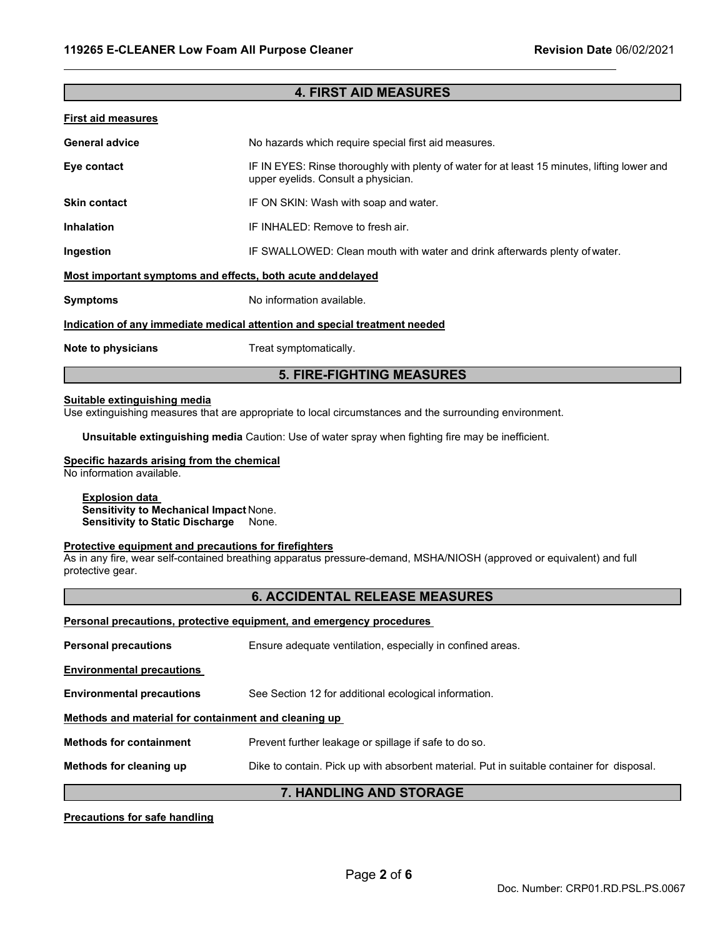# **4. FIRST AID MEASURES**

## **First aid measures**

| <b>General advice</b>                                                      | No hazards which require special first aid measures.                                                                                |  |
|----------------------------------------------------------------------------|-------------------------------------------------------------------------------------------------------------------------------------|--|
| Eye contact                                                                | IF IN EYES: Rinse thoroughly with plenty of water for at least 15 minutes, lifting lower and<br>upper eyelids. Consult a physician. |  |
| <b>Skin contact</b>                                                        | IF ON SKIN: Wash with soap and water.                                                                                               |  |
| <b>Inhalation</b>                                                          | IF INHALED: Remove to fresh air.                                                                                                    |  |
| Ingestion                                                                  | IF SWALLOWED: Clean mouth with water and drink afterwards plenty of water.                                                          |  |
| Most important symptoms and effects, both acute and delayed                |                                                                                                                                     |  |
| <b>Symptoms</b>                                                            | No information available.                                                                                                           |  |
| Indication of any immediate medical attention and special treatment needed |                                                                                                                                     |  |
| Note to physicians                                                         | Treat symptomatically.                                                                                                              |  |

# **5. FIRE-FIGHTING MEASURES**

# **Suitable extinguishing media**

Use extinguishing measures that are appropriate to local circumstances and the surrounding environment.

**Unsuitable extinguishing media** Caution: Use of water spray when fighting fire may be inefficient.

### **Specific hazards arising from the chemical**

No information available.

### **Explosion data Sensitivity to Mechanical Impact** None. **Sensitivity to Static Discharge** None.

# **Protective equipment and precautions for firefighters**

As in any fire, wear self-contained breathing apparatus pressure-demand, MSHA/NIOSH (approved or equivalent) and full protective gear.

# **6. ACCIDENTAL RELEASE MEASURES**

| <b>Personal precautions, protective equipment, and emergency procedures</b> |                                                                                           |  |
|-----------------------------------------------------------------------------|-------------------------------------------------------------------------------------------|--|
| <b>Personal precautions</b>                                                 | Ensure adequate ventilation, especially in confined areas.                                |  |
| <b>Environmental precautions</b>                                            |                                                                                           |  |
| <b>Environmental precautions</b>                                            | See Section 12 for additional ecological information.                                     |  |
| Methods and material for containment and cleaning up                        |                                                                                           |  |
| <b>Methods for containment</b>                                              | Prevent further leakage or spillage if safe to do so.                                     |  |
| Methods for cleaning up                                                     | Dike to contain. Pick up with absorbent material. Put in suitable container for disposal. |  |
| 7. HANDLING AND STORAGE                                                     |                                                                                           |  |

# **Precautions for safe handling**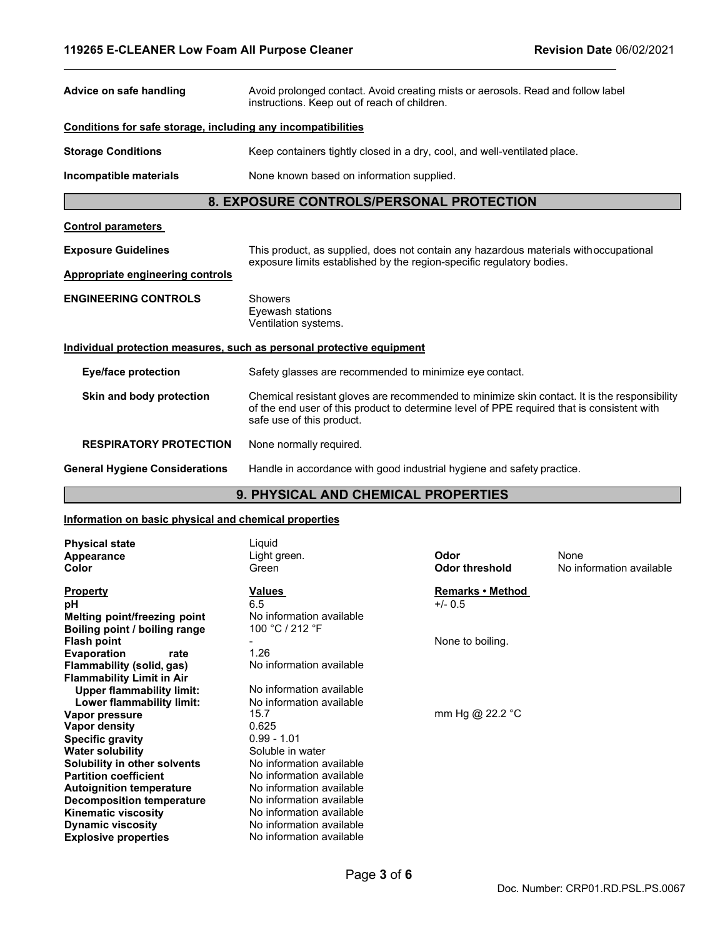| Advice on safe handling                                               | Avoid prolonged contact. Avoid creating mists or aerosols. Read and follow label<br>instructions. Keep out of reach of children.                                                                                        |  |
|-----------------------------------------------------------------------|-------------------------------------------------------------------------------------------------------------------------------------------------------------------------------------------------------------------------|--|
| Conditions for safe storage, including any incompatibilities          |                                                                                                                                                                                                                         |  |
| <b>Storage Conditions</b>                                             | Keep containers tightly closed in a dry, cool, and well-ventilated place.                                                                                                                                               |  |
| Incompatible materials                                                | None known based on information supplied.                                                                                                                                                                               |  |
| 8. EXPOSURE CONTROLS/PERSONAL PROTECTION                              |                                                                                                                                                                                                                         |  |
| <b>Control parameters</b>                                             |                                                                                                                                                                                                                         |  |
| <b>Exposure Guidelines</b>                                            | This product, as supplied, does not contain any hazardous materials withoccupational<br>exposure limits established by the region-specific regulatory bodies.                                                           |  |
| Appropriate engineering controls                                      |                                                                                                                                                                                                                         |  |
| <b>ENGINEERING CONTROLS</b>                                           | <b>Showers</b><br>Eyewash stations<br>Ventilation systems.                                                                                                                                                              |  |
| Individual protection measures, such as personal protective equipment |                                                                                                                                                                                                                         |  |
| <b>Eye/face protection</b>                                            | Safety glasses are recommended to minimize eye contact.                                                                                                                                                                 |  |
| Skin and body protection                                              | Chemical resistant gloves are recommended to minimize skin contact. It is the responsibility<br>of the end user of this product to determine level of PPE required that is consistent with<br>safe use of this product. |  |
| <b>RESPIRATORY PROTECTION</b>                                         | None normally required.                                                                                                                                                                                                 |  |
| <b>General Hygiene Considerations</b>                                 | Handle in accordance with good industrial hygiene and safety practice.                                                                                                                                                  |  |
| 9. PHYSICAL AND CHEMICAL PROPERTIES                                   |                                                                                                                                                                                                                         |  |

# **9. PHYSICAL AND CHEMICAL PROPERTIES**

# **Information on basic physical and chemical properties**

| <b>Physical state</b><br>Appearance<br>Color                  | Liquid<br>Light green.<br>Green             | Odor<br><b>Odor threshold</b> | None<br>No information available |
|---------------------------------------------------------------|---------------------------------------------|-------------------------------|----------------------------------|
| <b>Property</b><br>рH                                         | Values<br>6.5                               | Remarks • Method<br>$+/- 0.5$ |                                  |
| Melting point/freezing point<br>Boiling point / boiling range | No information available<br>100 °C / 212 °F |                               |                                  |
| <b>Flash point</b>                                            |                                             | None to boiling.              |                                  |
| <b>Evaporation</b><br>rate                                    | 1.26                                        |                               |                                  |
| Flammability (solid, gas)                                     | No information available                    |                               |                                  |
| <b>Flammability Limit in Air</b>                              |                                             |                               |                                  |
| <b>Upper flammability limit:</b>                              | No information available                    |                               |                                  |
| Lower flammability limit:                                     | No information available                    |                               |                                  |
| Vapor pressure                                                | 15.7                                        | mm Hg @ 22.2 °C               |                                  |
| Vapor density                                                 | 0.625                                       |                               |                                  |
| <b>Specific gravity</b>                                       | $0.99 - 1.01$                               |                               |                                  |
| <b>Water solubility</b>                                       | Soluble in water                            |                               |                                  |
| Solubility in other solvents                                  | No information available                    |                               |                                  |
| <b>Partition coefficient</b>                                  | No information available                    |                               |                                  |
| <b>Autoignition temperature</b>                               | No information available                    |                               |                                  |
| <b>Decomposition temperature</b>                              | No information available                    |                               |                                  |
| <b>Kinematic viscosity</b>                                    | No information available                    |                               |                                  |
| <b>Dynamic viscosity</b>                                      | No information available                    |                               |                                  |
| <b>Explosive properties</b>                                   | No information available                    |                               |                                  |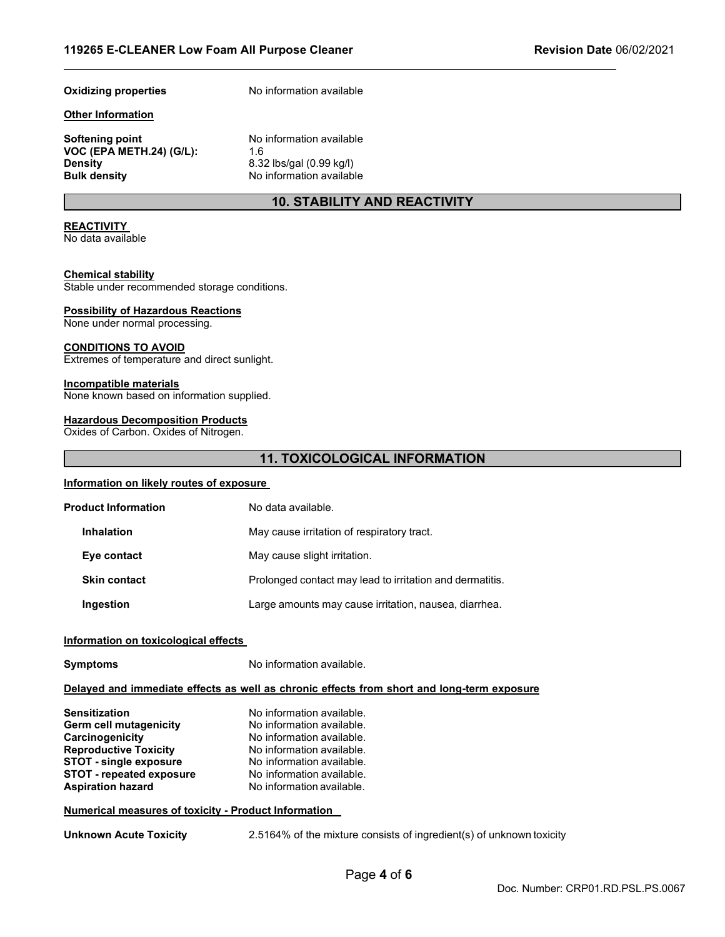#### **Other Information**

**Softening point** No information available **VOC (EPA METH.24) (G/L):** 1.6<br>**Density** 8.32 **Density** 8.32 lbs/gal (0.99 kg/l)<br> **Bulk density** Company No information available

**Oxidizing properties** No information available

**No information available** 

# **10. STABILITY AND REACTIVITY**

# **REACTIVITY**

No data available

# **Chemical stability**

Stable under recommended storage conditions.

# **Possibility of Hazardous Reactions**

None under normal processing.

### **CONDITIONS TO AVOID**

Extremes of temperature and direct sunlight.

### **Incompatible materials**

None known based on information supplied.

### **Hazardous Decomposition Products**

Oxides of Carbon. Oxides of Nitrogen.

# **11. TOXICOLOGICAL INFORMATION**

#### **Information on likely routes of exposure**

| <b>Product Information</b> | No data available.                                       |
|----------------------------|----------------------------------------------------------|
| <b>Inhalation</b>          | May cause irritation of respiratory tract.               |
| Eye contact                | May cause slight irritation.                             |
| <b>Skin contact</b>        | Prolonged contact may lead to irritation and dermatitis. |
| Ingestion                  | Large amounts may cause irritation, nausea, diarrhea.    |

#### **Information on toxicological effects**

**Symptoms** No information available.

#### **Delayed and immediate effects as well as chronic effects from short and long-term exposure**

| <b>Sensitization</b>            | No information available. |
|---------------------------------|---------------------------|
| Germ cell mutagenicity          | No information available. |
| Carcinogenicity                 | No information available. |
| <b>Reproductive Toxicity</b>    | No information available. |
| <b>STOT - single exposure</b>   | No information available. |
| <b>STOT - repeated exposure</b> | No information available. |
| <b>Aspiration hazard</b>        | No information available. |

# **Numerical measures of toxicity - Product Information**

**Unknown Acute Toxicity** 2.5164% of the mixture consists of ingredient(s) of unknown toxicity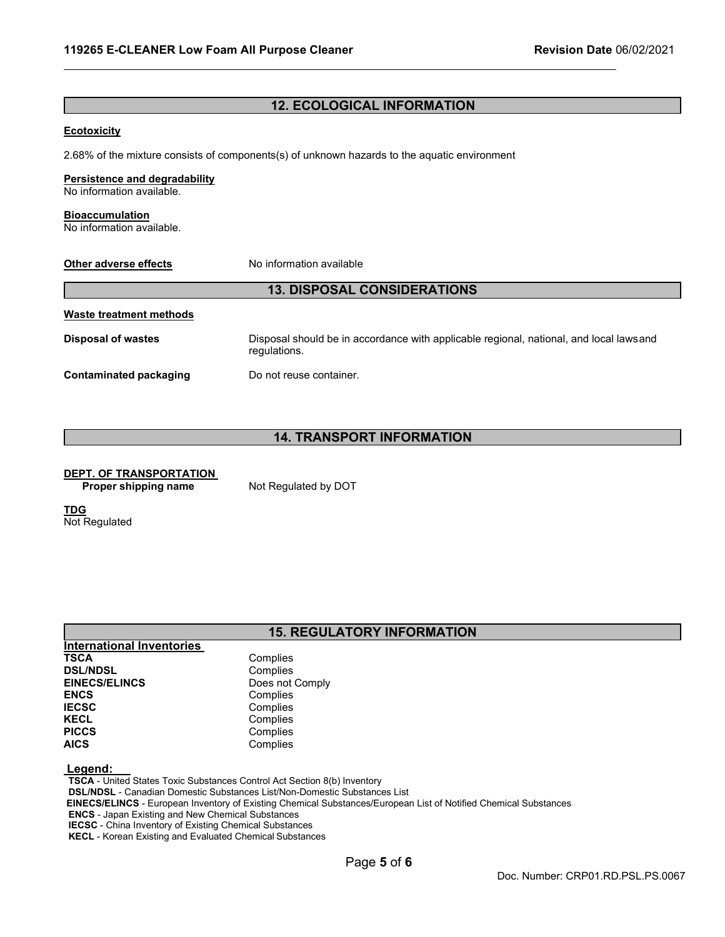# **12. ECOLOGICAL INFORMATION**

# **Ecotoxicity**

2.68% of the mixture consists of components(s) of unknown hazards to the aquatic environment

# **Persistence and degradability**

No information available.

# **Bioaccumulation**

No information available.

| Other adverse effects              | No information available                                                                                |  |
|------------------------------------|---------------------------------------------------------------------------------------------------------|--|
| <b>13. DISPOSAL CONSIDERATIONS</b> |                                                                                                         |  |
| Waste treatment methods            |                                                                                                         |  |
| <b>Disposal of wastes</b>          | Disposal should be in accordance with applicable regional, national, and local laws and<br>regulations. |  |
| <b>Contaminated packaging</b>      | Do not reuse container.                                                                                 |  |

# **14. TRANSPORT INFORMATION**

# **DEPT. OF TRANSPORTATION**

**Proper shipping name** Not Regulated by DOT

**TDG** Not Regulated

# **15. REGULATORY INFORMATION**

| Complies        |
|-----------------|
| Complies        |
| Does not Comply |
| Complies        |
| Complies        |
| Complies        |
| Complies        |
| Complies        |
|                 |

#### **Legend:**

**TSCA** - United States Toxic Substances Control Act Section 8(b) Inventory **DSL/NDSL** - Canadian Domestic Substances List/Non-Domestic Substances List **EINECS/ELINCS** - European Inventory of Existing Chemical Substances/European List of Notified Chemical Substances **ENCS** - Japan Existing and New Chemical Substances **IECSC** - China Inventory of Existing Chemical Substances **KECL** - Korean Existing and Evaluated Chemical Substances